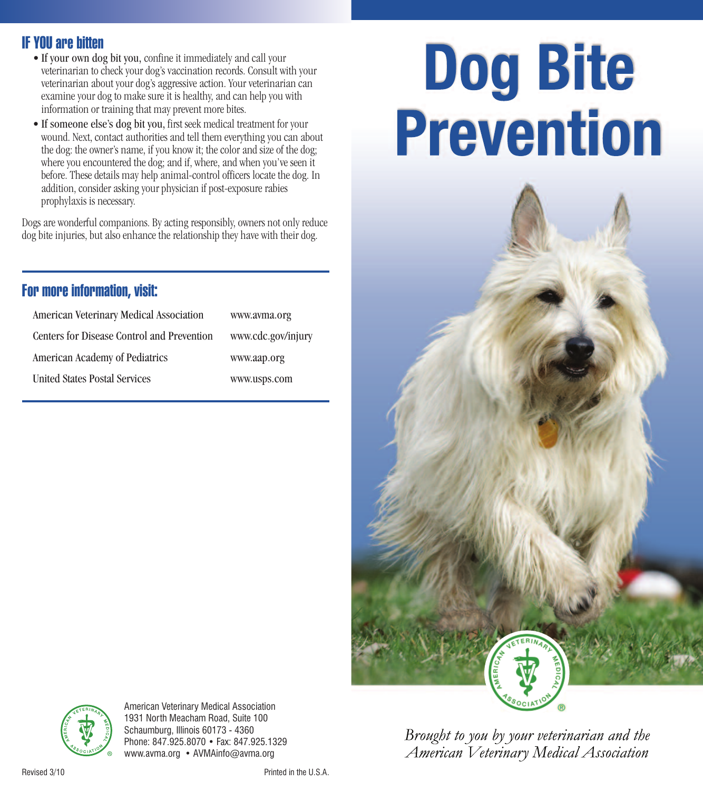## **IF YOU are bitten**

- If your own dog bit you, confine it immediately and call your veterinarian to check your dog's vaccination records. Consult with your veterinarian about your dog's aggressive action. Your veterinarian can examine your dog to make sure it is healthy, and can help you with information or training that may prevent more bites.
- If someone else's dog bit you, first seek medical treatment for your wound. Next, contact authorities and tell them everything you can about the dog: the owner's name, if you know it; the color and size of the dog; where you encountered the dog; and if, where, and when you've seen it before. These details may help animal-control officers locate the dog. In addition, consider asking your physician if post-exposure rabies prophylaxis is necessary.

Dogs are wonderful companions. By acting responsibly, owners not only reduce dog bite injuries, but also enhance the relationship they have with their dog.

# **For more information, visit:**

| American Veterinary Medical Association    | www.avma.org       |
|--------------------------------------------|--------------------|
| Centers for Disease Control and Prevention | www.cdc.gov/injury |
| American Academy of Pediatrics             | www.aap.org        |
| <b>United States Postal Services</b>       | www.usps.com       |

# **Dog Bite Prevention**



Brought to you by your veterinarian and the American Veterinary Medical Association



American Veterinary Medical Association 1931 North Meacham Road, Suite 100 Schaumburg, Illinois 60173 - 4360 Phone: 847.925.8070 • Fax: 847.925.1329 www.avma.org • AVMAinfo@avma.org